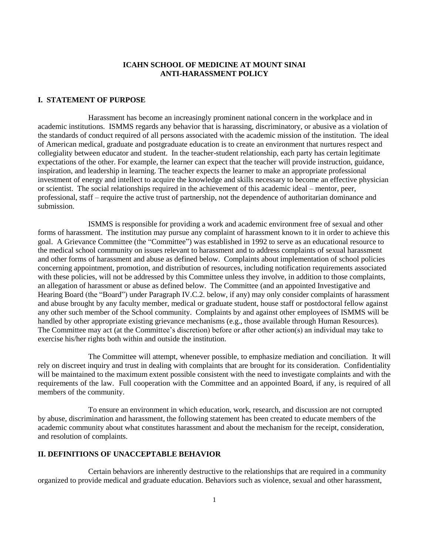### **ICAHN SCHOOL OF MEDICINE AT MOUNT SINAI ANTI-HARASSMENT POLICY**

### **I. STATEMENT OF PURPOSE**

Harassment has become an increasingly prominent national concern in the workplace and in academic institutions. ISMMS regards any behavior that is harassing, discriminatory, or abusive as a violation of the standards of conduct required of all persons associated with the academic mission of the institution. The ideal of American medical, graduate and postgraduate education is to create an environment that nurtures respect and collegiality between educator and student. In the teacher-student relationship, each party has certain legitimate expectations of the other. For example, the learner can expect that the teacher will provide instruction, guidance, inspiration, and leadership in learning. The teacher expects the learner to make an appropriate professional investment of energy and intellect to acquire the knowledge and skills necessary to become an effective physician or scientist. The social relationships required in the achievement of this academic ideal – mentor, peer, professional, staff – require the active trust of partnership, not the dependence of authoritarian dominance and submission.

ISMMS is responsible for providing a work and academic environment free of sexual and other forms of harassment. The institution may pursue any complaint of harassment known to it in order to achieve this goal. A Grievance Committee (the "Committee") was established in 1992 to serve as an educational resource to the medical school community on issues relevant to harassment and to address complaints of sexual harassment and other forms of harassment and abuse as defined below. Complaints about implementation of school policies concerning appointment, promotion, and distribution of resources, including notification requirements associated with these policies, will not be addressed by this Committee unless they involve, in addition to those complaints, an allegation of harassment or abuse as defined below. The Committee (and an appointed Investigative and Hearing Board (the "Board") under Paragraph IV.C.2. below, if any) may only consider complaints of harassment and abuse brought by any faculty member, medical or graduate student, house staff or postdoctoral fellow against any other such member of the School community. Complaints by and against other employees of ISMMS will be handled by other appropriate existing grievance mechanisms (e.g., those available through Human Resources). The Committee may act (at the Committee's discretion) before or after other action(s) an individual may take to exercise his/her rights both within and outside the institution.

The Committee will attempt, whenever possible, to emphasize mediation and conciliation. It will rely on discreet inquiry and trust in dealing with complaints that are brought for its consideration. Confidentiality will be maintained to the maximum extent possible consistent with the need to investigate complaints and with the requirements of the law. Full cooperation with the Committee and an appointed Board, if any, is required of all members of the community.

To ensure an environment in which education, work, research, and discussion are not corrupted by abuse, discrimination and harassment, the following statement has been created to educate members of the academic community about what constitutes harassment and about the mechanism for the receipt, consideration, and resolution of complaints.

## **II. DEFINITIONS OF UNACCEPTABLE BEHAVIOR**

Certain behaviors are inherently destructive to the relationships that are required in a community organized to provide medical and graduate education. Behaviors such as violence, sexual and other harassment,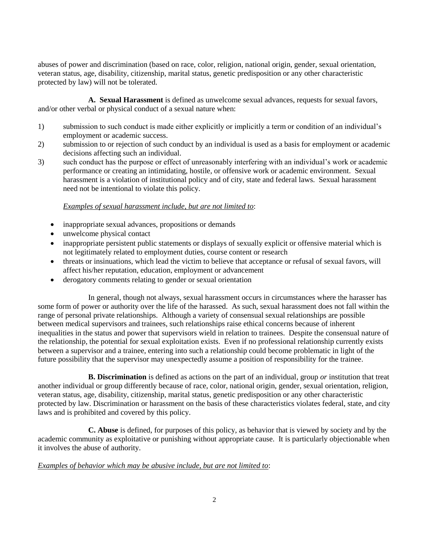abuses of power and discrimination (based on race, color, religion, national origin, gender, sexual orientation, veteran status, age, disability, citizenship, marital status, genetic predisposition or any other characteristic protected by law) will not be tolerated.

**A. Sexual Harassment** is defined as unwelcome sexual advances, requests for sexual favors, and/or other verbal or physical conduct of a sexual nature when:

- 1) submission to such conduct is made either explicitly or implicitly a term or condition of an individual's employment or academic success.
- 2) submission to or rejection of such conduct by an individual is used as a basis for employment or academic decisions affecting such an individual.
- 3) such conduct has the purpose or effect of unreasonably interfering with an individual's work or academic performance or creating an intimidating, hostile, or offensive work or academic environment. Sexual harassment is a violation of institutional policy and of city, state and federal laws. Sexual harassment need not be intentional to violate this policy.

## *Examples of sexual harassment include, but are not limited to*:

- inappropriate sexual advances, propositions or demands
- unwelcome physical contact
- inappropriate persistent public statements or displays of sexually explicit or offensive material which is not legitimately related to employment duties, course content or research
- threats or insinuations, which lead the victim to believe that acceptance or refusal of sexual favors, will affect his/her reputation, education, employment or advancement
- derogatory comments relating to gender or sexual orientation

In general, though not always, sexual harassment occurs in circumstances where the harasser has some form of power or authority over the life of the harassed. As such, sexual harassment does not fall within the range of personal private relationships. Although a variety of consensual sexual relationships are possible between medical supervisors and trainees, such relationships raise ethical concerns because of inherent inequalities in the status and power that supervisors wield in relation to trainees. Despite the consensual nature of the relationship, the potential for sexual exploitation exists. Even if no professional relationship currently exists between a supervisor and a trainee, entering into such a relationship could become problematic in light of the future possibility that the supervisor may unexpectedly assume a position of responsibility for the trainee.

**B. Discrimination** is defined as actions on the part of an individual*,* group *or* institution that treat another individual or group differently because of race, color, national origin, gender, sexual orientation, religion, veteran status, age, disability, citizenship, marital status, genetic predisposition or any other characteristic protected by law. Discrimination or harassment on the basis of these characteristics violates federal, state, and city laws and is prohibited and covered by this policy.

**C. Abuse** is defined, for purposes of this policy, as behavior that is viewed by society and by the academic community as exploitative or punishing without appropriate cause. It is particularly objectionable when it involves the abuse of authority.

## *Examples of behavior which may be abusive include, but are not limited to*: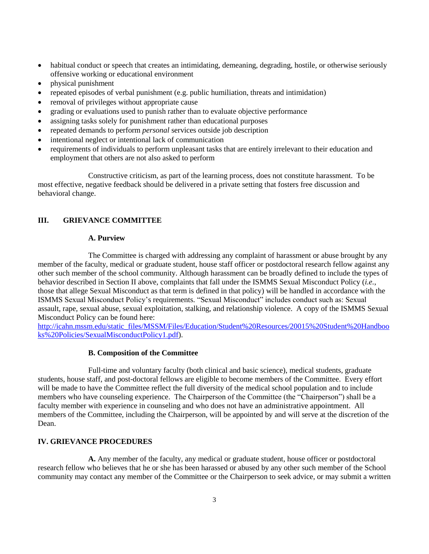- habitual conduct or speech that creates an intimidating, demeaning, degrading, hostile, or otherwise seriously offensive working or educational environment
- physical punishment
- repeated episodes of verbal punishment (e.g. public humiliation, threats and intimidation)
- removal of privileges without appropriate cause
- grading or evaluations used to punish rather than to evaluate objective performance
- assigning tasks solely for punishment rather than educational purposes
- repeated demands to perform *personal* services outside job description
- intentional neglect or intentional lack of communication
- requirements of individuals to perform unpleasant tasks that are entirely irrelevant to their education and employment that others are not also asked to perform

Constructive criticism, as part of the learning process, does not constitute harassment. To be most effective, negative feedback should be delivered in a private setting that fosters free discussion and behavioral change.

## **III. GRIEVANCE COMMITTEE**

#### **A. Purview**

The Committee is charged with addressing any complaint of harassment or abuse brought by any member of the faculty, medical or graduate student, house staff officer or postdoctoral research fellow against any other such member of the school community. Although harassment can be broadly defined to include the types of behavior described in Section II above, complaints that fall under the ISMMS Sexual Misconduct Policy (*i.e.*, those that allege Sexual Misconduct as that term is defined in that policy) will be handled in accordance with the ISMMS Sexual Misconduct Policy's requirements. "Sexual Misconduct" includes conduct such as: Sexual assault, rape, sexual abuse, sexual exploitation, stalking, and relationship violence. A copy of the ISMMS Sexual Misconduct Policy can be found here:

[http://icahn.mssm.edu/static\\_files/MSSM/Files/Education/Student%20Resources/20015%20Student%20Handboo](http://icahn.mssm.edu/static_files/MSSM/Files/Education/Student%20Resources/20015%20Student%20Handbooks%20Policies/SexualMisconductPolicy1.pdf) [ks%20Policies/SexualMisconductPolicy1.pdf\)](http://icahn.mssm.edu/static_files/MSSM/Files/Education/Student%20Resources/20015%20Student%20Handbooks%20Policies/SexualMisconductPolicy1.pdf).

### **B. Composition of the Committee**

Full-time and voluntary faculty (both clinical and basic science), medical students, graduate students, house staff, and post-doctoral fellows are eligible to become members of the Committee. Every effort will be made to have the Committee reflect the full diversity of the medical school population and to include members who have counseling experience. The Chairperson of the Committee (the "Chairperson") shall be a faculty member with experience in counseling and who does not have an administrative appointment. All members of the Committee, including the Chairperson, will be appointed by and will serve at the discretion of the Dean.

### **IV. GRIEVANCE PROCEDURES**

**A.** Any member of the faculty, any medical or graduate student, house officer or postdoctoral research fellow who believes that he or she has been harassed or abused by any other such member of the School community may contact any member of the Committee or the Chairperson to seek advice, or may submit a written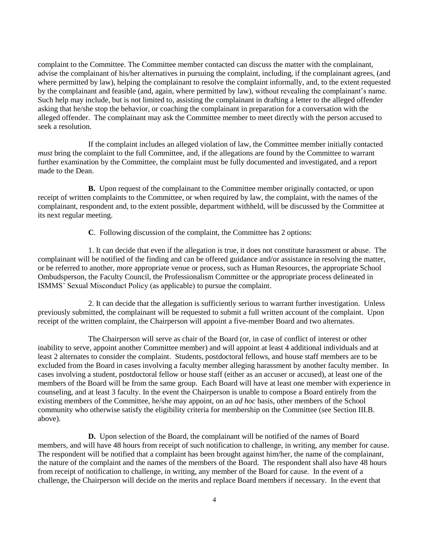complaint to the Committee. The Committee member contacted can discuss the matter with the complainant, advise the complainant of his/her alternatives in pursuing the complaint, including, if the complainant agrees, (and where permitted by law), helping the complainant to resolve the complaint informally, and, to the extent requested by the complainant and feasible (and, again, where permitted by law), without revealing the complainant's name. Such help may include, but is not limited to, assisting the complainant in drafting a letter to the alleged offender asking that he/she stop the behavior, or coaching the complainant in preparation for a conversation with the alleged offender. The complainant may ask the Committee member to meet directly with the person accused to seek a resolution.

If the complaint includes an alleged violation of law, the Committee member initially contacted *must* bring the complaint to the full Committee, and, if the allegations are found by the Committee to warrant further examination by the Committee, the complaint must be fully documented and investigated, and a report made to the Dean.

**B.** Upon request of the complainant to the Committee member originally contacted, or upon receipt of written complaints to the Committee, or when required by law, the complaint, with the names of the complainant, respondent and, to the extent possible, department withheld, will be discussed by the Committee at its next regular meeting.

**C**. Following discussion of the complaint, the Committee has 2 options:

1. It can decide that even if the allegation is true, it does not constitute harassment or abuse. The complainant will be notified of the finding and can be offered guidance and/or assistance in resolving the matter, or be referred to another, more appropriate venue or process, such as Human Resources, the appropriate School Ombudsperson, the Faculty Council, the Professionalism Committee or the appropriate process delineated in ISMMS' Sexual Misconduct Policy (as applicable) to pursue the complaint.

2. It can decide that the allegation is sufficiently serious to warrant further investigation. Unless previously submitted, the complainant will be requested to submit a full written account of the complaint. Upon receipt of the written complaint, the Chairperson will appoint a five-member Board and two alternates.

The Chairperson will serve as chair of the Board (or, in case of conflict of interest or other inability to serve, appoint another Committee member) and will appoint at least 4 additional individuals and at least 2 alternates to consider the complaint. Students, postdoctoral fellows, and house staff members are to be excluded from the Board in cases involving a faculty member alleging harassment by another faculty member. In cases involving a student, postdoctoral fellow or house staff (either as an accuser or accused), at least one of the members of the Board will be from the same group. Each Board will have at least one member with experience in counseling, and at least 3 faculty. In the event the Chairperson is unable to compose a Board entirely from the existing members of the Committee, he/she may appoint, on an *ad hoc* basis, other members of the School community who otherwise satisfy the eligibility criteria for membership on the Committee (see Section III.B. above).

**D.** Upon selection of the Board, the complainant will be notified of the names of Board members, and will have 48 hours from receipt of such notification to challenge, in writing, any member for cause. The respondent will be notified that a complaint has been brought against him/her, the name of the complainant, the nature of the complaint and the names of the members of the Board. The respondent shall also have 48 hours from receipt of notification to challenge, in writing, any member of the Board for cause. In the event of a challenge, the Chairperson will decide on the merits and replace Board members if necessary. In the event that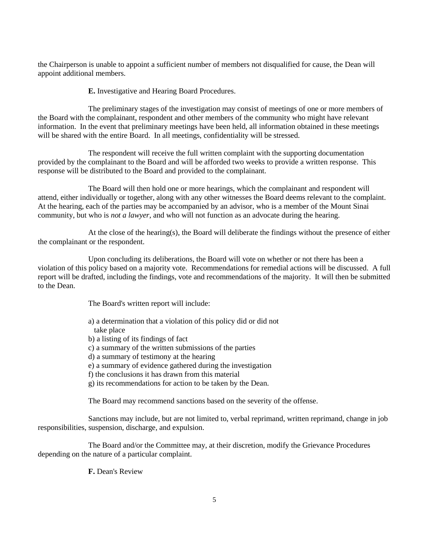the Chairperson is unable to appoint a sufficient number of members not disqualified for cause, the Dean will appoint additional members.

**E.** Investigative and Hearing Board Procedures.

The preliminary stages of the investigation may consist of meetings of one or more members of the Board with the complainant, respondent and other members of the community who might have relevant information. In the event that preliminary meetings have been held, all information obtained in these meetings will be shared with the entire Board. In all meetings, confidentiality will be stressed.

The respondent will receive the full written complaint with the supporting documentation provided by the complainant to the Board and will be afforded two weeks to provide a written response. This response will be distributed to the Board and provided to the complainant.

The Board will then hold one or more hearings, which the complainant and respondent will attend, either individually or together, along with any other witnesses the Board deems relevant to the complaint. At the hearing, each of the parties may be accompanied by an advisor, who is a member of the Mount Sinai community, but who is *not a lawyer*, and who will not function as an advocate during the hearing.

At the close of the hearing(s), the Board will deliberate the findings without the presence of either the complainant or the respondent.

Upon concluding its deliberations, the Board will vote on whether or not there has been a violation of this policy based on a majority vote. Recommendations for remedial actions will be discussed. A full report will be drafted, including the findings, vote and recommendations of the majority. It will then be submitted to the Dean.

The Board's written report will include:

a) a determination that a violation of this policy did or did not take place b) a listing of its findings of fact c) a summary of the written submissions of the parties d) a summary of testimony at the hearing e) a summary of evidence gathered during the investigation f) the conclusions it has drawn from this material g) its recommendations for action to be taken by the Dean. The Board may recommend sanctions based on the severity of the offense.

Sanctions may include, but are not limited to, verbal reprimand, written reprimand, change in job responsibilities, suspension, discharge, and expulsion.

The Board and/or the Committee may, at their discretion, modify the Grievance Procedures depending on the nature of a particular complaint.

**F.** Dean's Review